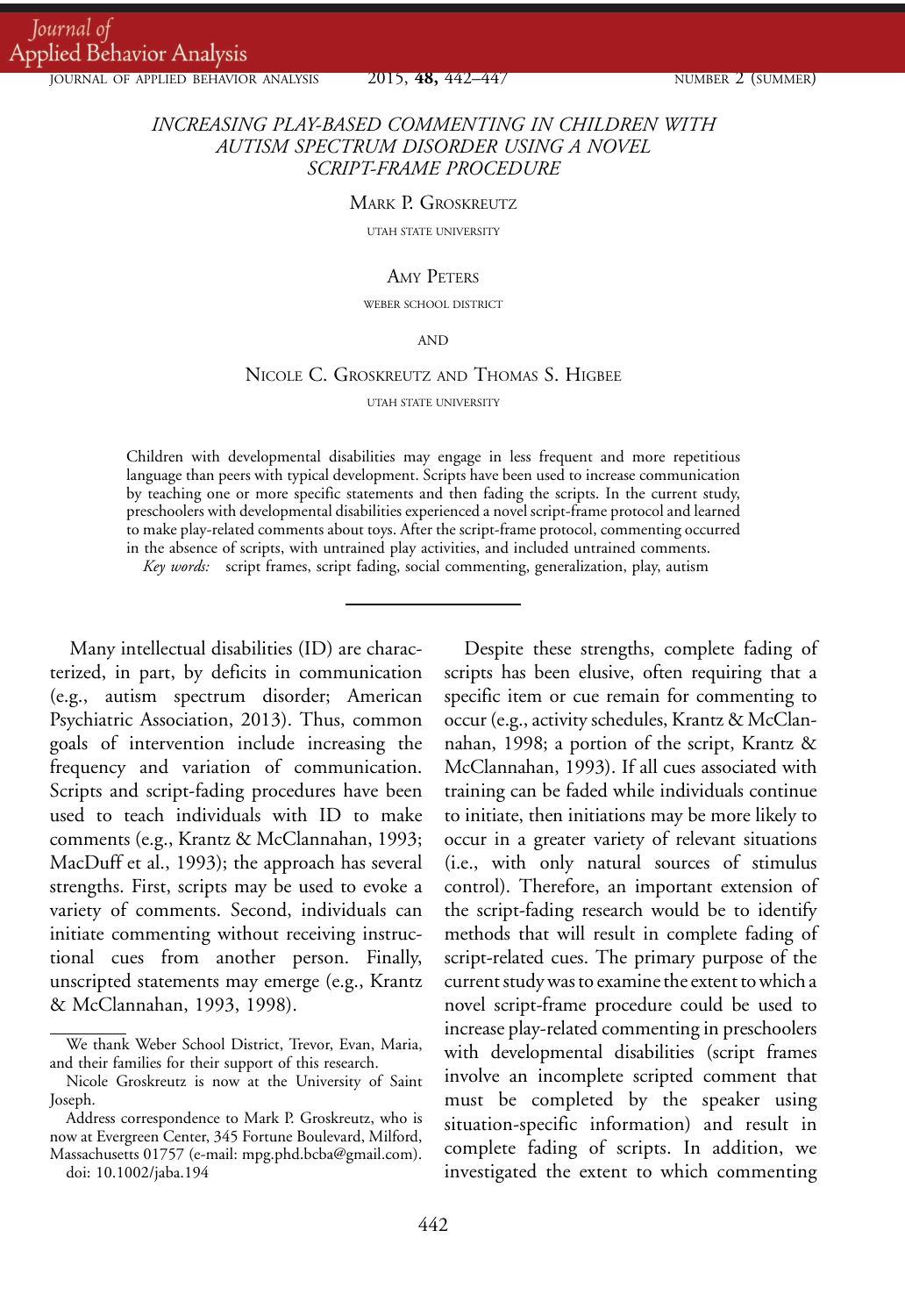JOURNAL OF APPLIED BEHAVIOR ANALYSIS 2015, 48, 442–447 NUMBER 2 (SUMMER)

# INCREASING PLAY-BASED COMMENTING IN CHILDREN WITH AUTISM SPECTRUM DISORDER USING A NOVEL SCRIPT-FRAME PROCEDURE

### MARK P. GROSKREUTZ

UTAH STATE UNIVERSITY

#### AMY PETERS

#### WEBER SCHOOL DISTRICT

#### AND

#### NICOLE C. GROSKREUTZ AND THOMAS S. HIGBEE

UTAH STATE UNIVERSITY

Children with developmental disabilities may engage in less frequent and more repetitious language than peers with typical development. Scripts have been used to increase communication by teaching one or more specific statements and then fading the scripts. In the current study, preschoolers with developmental disabilities experienced a novel script-frame protocol and learned to make play-related comments about toys. After the script-frame protocol, commenting occurred in the absence of scripts, with untrained play activities, and included untrained comments.

Key words: script frames, script fading, social commenting, generalization, play, autism

Many intellectual disabilities (ID) are characterized, in part, by deficits in communication (e.g., autism spectrum disorder; American Psychiatric Association, 2013). Thus, common goals of intervention include increasing the frequency and variation of communication. Scripts and script-fading procedures have been used to teach individuals with ID to make comments (e.g., Krantz & McClannahan, 1993; MacDuff et al., 1993); the approach has several strengths. First, scripts may be used to evoke a variety of comments. Second, individuals can initiate commenting without receiving instructional cues from another person. Finally, unscripted statements may emerge (e.g., Krantz & McClannahan, 1993, 1998).

Address correspondence to Mark P. Groskreutz, who is now at Evergreen Center, 345 Fortune Boulevard, Milford, Massachusetts 01757 (e-mail: mpg.phd.bcba@gmail.com).

doi: 10.1002/jaba.194

Despite these strengths, complete fading of scripts has been elusive, often requiring that a specific item or cue remain for commenting to occur (e.g., activity schedules, Krantz & McClannahan, 1998; a portion of the script, Krantz & McClannahan, 1993). If all cues associated with training can be faded while individuals continue to initiate, then initiations may be more likely to occur in a greater variety of relevant situations (i.e., with only natural sources of stimulus control). Therefore, an important extension of the script-fading research would be to identify methods that will result in complete fading of script-related cues. The primary purpose of the current study was to examine the extent towhich a novel script-frame procedure could be used to increase play-related commenting in preschoolers with developmental disabilities (script frames involve an incomplete scripted comment that must be completed by the speaker using situation-specific information) and result in complete fading of scripts. In addition, we investigated the extent to which commenting

We thank Weber School District, Trevor, Evan, Maria, and their families for their support of this research.

Nicole Groskreutz is now at the University of Saint Joseph.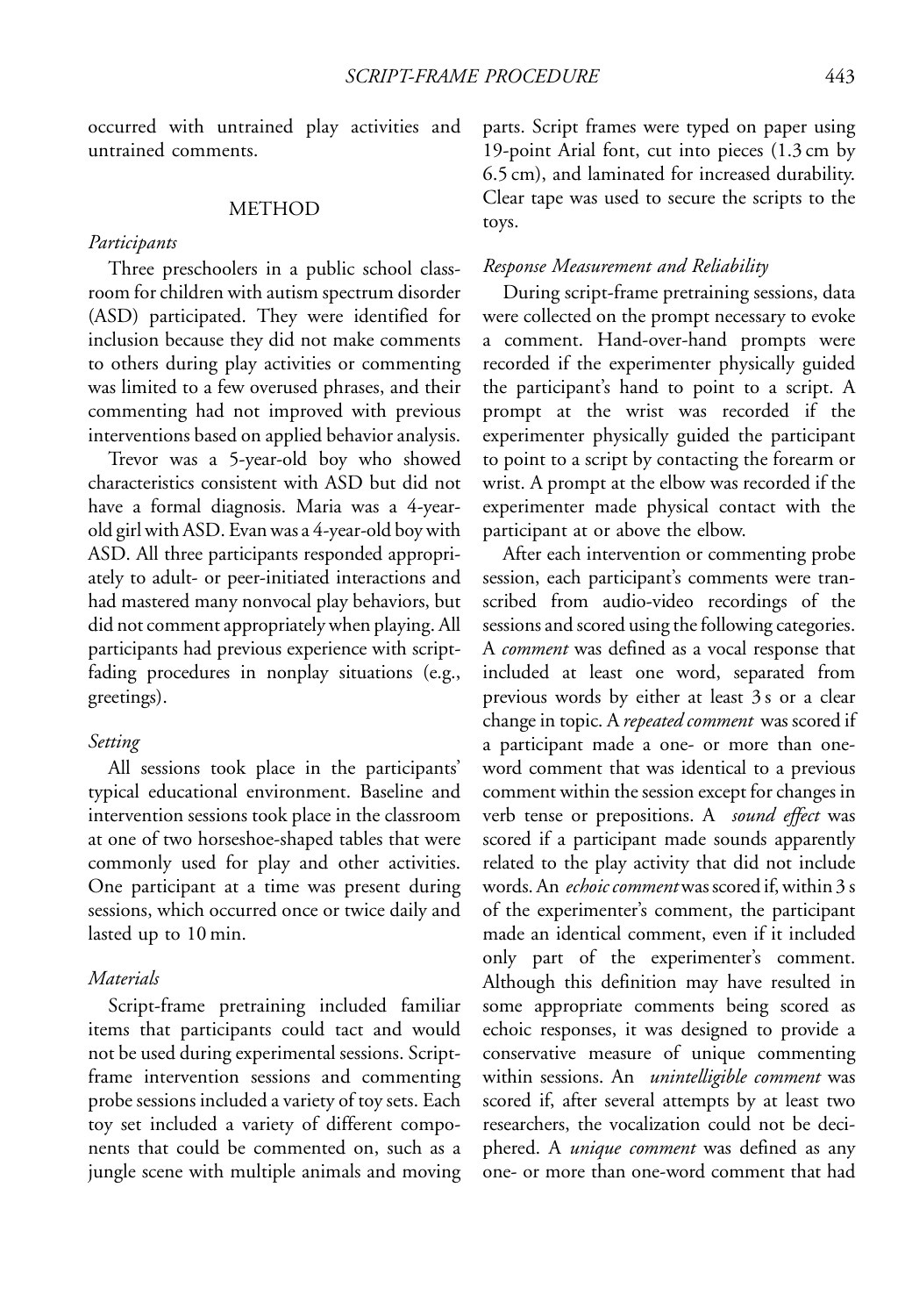occurred with untrained play activities and untrained comments.

# **METHOD**

#### Participants

Three preschoolers in a public school classroom for children with autism spectrum disorder (ASD) participated. They were identified for inclusion because they did not make comments to others during play activities or commenting was limited to a few overused phrases, and their commenting had not improved with previous interventions based on applied behavior analysis.

Trevor was a 5-year-old boy who showed characteristics consistent with ASD but did not have a formal diagnosis. Maria was a 4-yearold girl with ASD. Evan was a 4-year-old boy with ASD. All three participants responded appropriately to adult- or peer-initiated interactions and had mastered many nonvocal play behaviors, but did not comment appropriately when playing. All participants had previous experience with scriptfading procedures in nonplay situations (e.g., greetings).

#### Setting

All sessions took place in the participants' typical educational environment. Baseline and intervention sessions took place in the classroom at one of two horseshoe-shaped tables that were commonly used for play and other activities. One participant at a time was present during sessions, which occurred once or twice daily and lasted up to 10 min.

### Materials

Script-frame pretraining included familiar items that participants could tact and would not be used during experimental sessions. Scriptframe intervention sessions and commenting probe sessions included a variety of toy sets. Each toy set included a variety of different components that could be commented on, such as a jungle scene with multiple animals and moving

parts. Script frames were typed on paper using 19-point Arial font, cut into pieces (1.3 cm by 6.5 cm), and laminated for increased durability. Clear tape was used to secure the scripts to the toys.

### Response Measurement and Reliability

During script-frame pretraining sessions, data were collected on the prompt necessary to evoke a comment. Hand-over-hand prompts were recorded if the experimenter physically guided the participant's hand to point to a script. A prompt at the wrist was recorded if the experimenter physically guided the participant to point to a script by contacting the forearm or wrist. A prompt at the elbow was recorded if the experimenter made physical contact with the participant at or above the elbow.

After each intervention or commenting probe session, each participant's comments were transcribed from audio-video recordings of the sessions and scored using the following categories. A comment was defined as a vocal response that included at least one word, separated from previous words by either at least 3 s or a clear change in topic. A repeated comment was scored if a participant made a one- or more than oneword comment that was identical to a previous comment within the session except for changes in verb tense or prepositions. A sound effect was scored if a participant made sounds apparently related to the play activity that did not include words. An echoic commentwas scored if, within 3 s of the experimenter's comment, the participant made an identical comment, even if it included only part of the experimenter's comment. Although this definition may have resulted in some appropriate comments being scored as echoic responses, it was designed to provide a conservative measure of unique commenting within sessions. An *unintelligible comment* was scored if, after several attempts by at least two researchers, the vocalization could not be deciphered. A *unique comment* was defined as any one- or more than one-word comment that had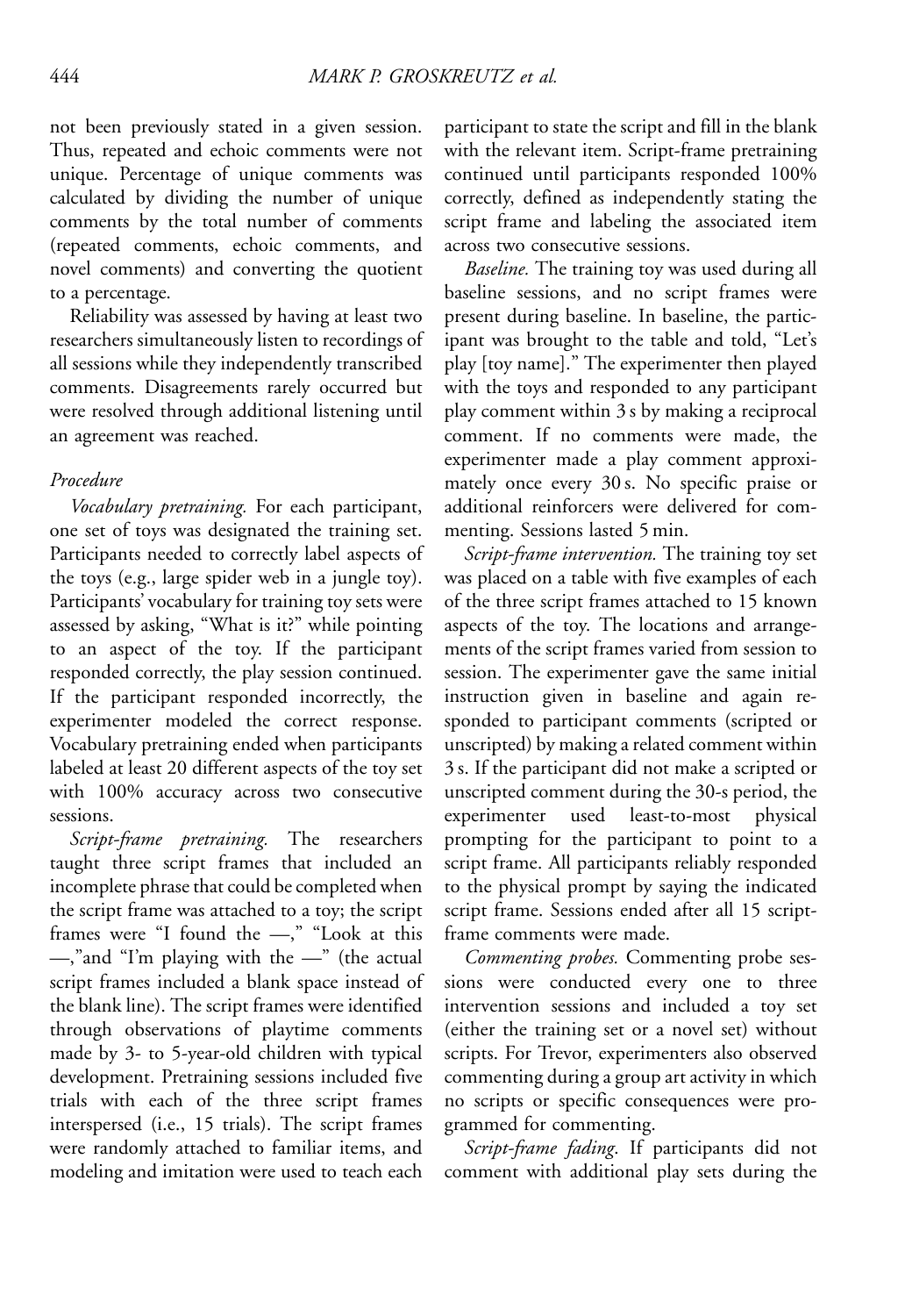not been previously stated in a given session. Thus, repeated and echoic comments were not unique. Percentage of unique comments was calculated by dividing the number of unique comments by the total number of comments (repeated comments, echoic comments, and novel comments) and converting the quotient to a percentage.

Reliability was assessed by having at least two researchers simultaneously listen to recordings of all sessions while they independently transcribed comments. Disagreements rarely occurred but were resolved through additional listening until an agreement was reached.

# Procedure

Vocabulary pretraining. For each participant, one set of toys was designated the training set. Participants needed to correctly label aspects of the toys (e.g., large spider web in a jungle toy). Participants' vocabulary for training toy sets were assessed by asking, "What is it?" while pointing to an aspect of the toy. If the participant responded correctly, the play session continued. If the participant responded incorrectly, the experimenter modeled the correct response. Vocabulary pretraining ended when participants labeled at least 20 different aspects of the toy set with 100% accuracy across two consecutive sessions.

Script-frame pretraining. The researchers taught three script frames that included an incomplete phrase that could be completed when the script frame was attached to a toy; the script frames were "I found the -," "Look at this —,"and "I'm playing with the —" (the actual script frames included a blank space instead of the blank line). The script frames were identified through observations of playtime comments made by 3- to 5-year-old children with typical development. Pretraining sessions included five trials with each of the three script frames interspersed (i.e., 15 trials). The script frames were randomly attached to familiar items, and modeling and imitation were used to teach each

participant to state the script and fill in the blank with the relevant item. Script-frame pretraining continued until participants responded 100% correctly, defined as independently stating the script frame and labeling the associated item across two consecutive sessions.

Baseline. The training toy was used during all baseline sessions, and no script frames were present during baseline. In baseline, the participant was brought to the table and told, "Let's play [toy name]." The experimenter then played with the toys and responded to any participant play comment within 3 s by making a reciprocal comment. If no comments were made, the experimenter made a play comment approximately once every 30 s. No specific praise or additional reinforcers were delivered for commenting. Sessions lasted 5 min.

Script-frame intervention. The training toy set was placed on a table with five examples of each of the three script frames attached to 15 known aspects of the toy. The locations and arrangements of the script frames varied from session to session. The experimenter gave the same initial instruction given in baseline and again responded to participant comments (scripted or unscripted) by making a related comment within 3 s. If the participant did not make a scripted or unscripted comment during the 30-s period, the experimenter used least-to-most physical prompting for the participant to point to a script frame. All participants reliably responded to the physical prompt by saying the indicated script frame. Sessions ended after all 15 scriptframe comments were made.

Commenting probes. Commenting probe sessions were conducted every one to three intervention sessions and included a toy set (either the training set or a novel set) without scripts. For Trevor, experimenters also observed commenting during a group art activity in which no scripts or specific consequences were programmed for commenting.

Script-frame fading. If participants did not comment with additional play sets during the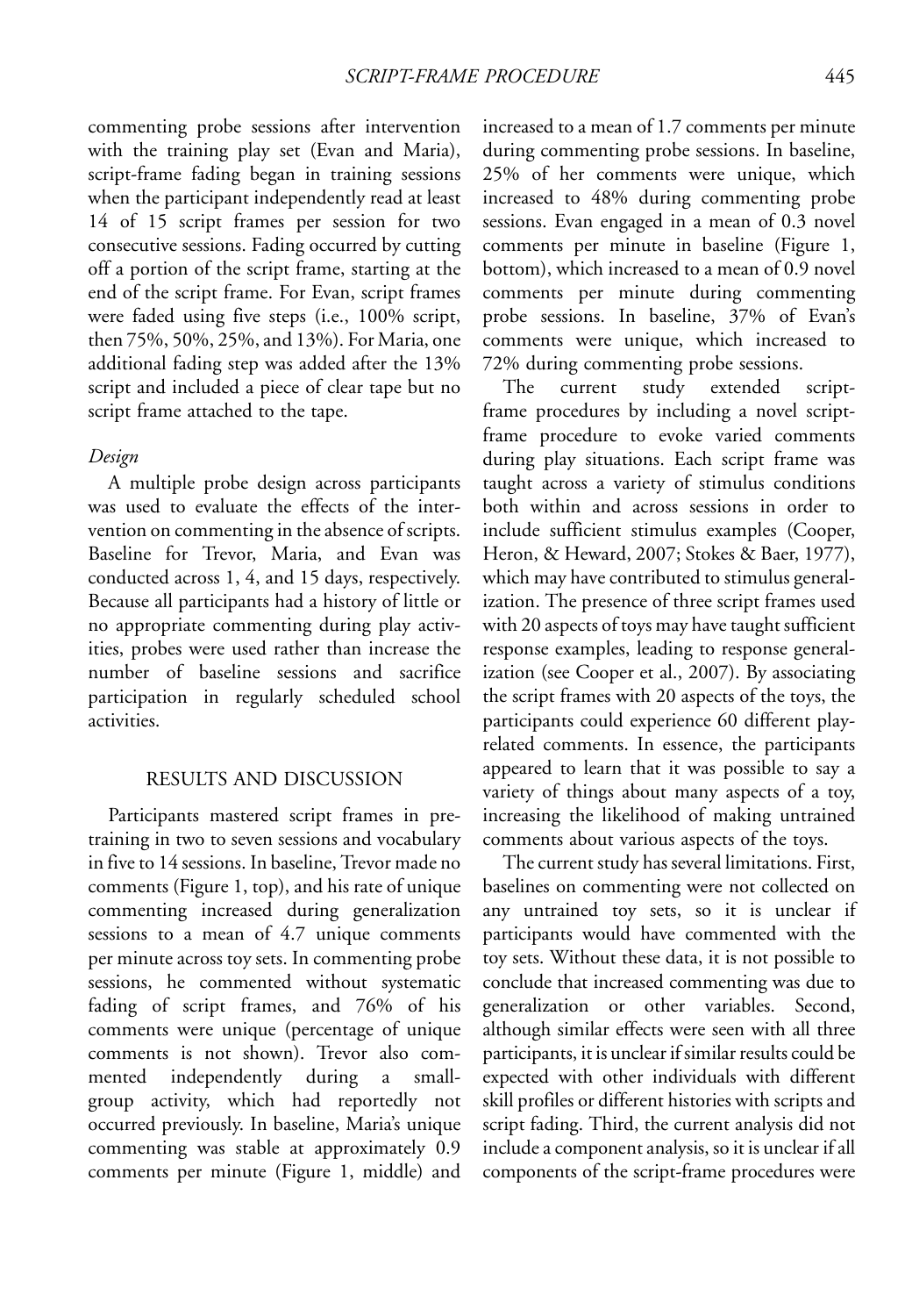commenting probe sessions after intervention with the training play set (Evan and Maria), script-frame fading began in training sessions when the participant independently read at least 14 of 15 script frames per session for two consecutive sessions. Fading occurred by cutting off a portion of the script frame, starting at the end of the script frame. For Evan, script frames were faded using five steps (i.e., 100% script, then 75%, 50%, 25%, and 13%). For Maria, one additional fading step was added after the 13% script and included a piece of clear tape but no script frame attached to the tape.

### Design

A multiple probe design across participants was used to evaluate the effects of the intervention on commenting in the absence of scripts. Baseline for Trevor, Maria, and Evan was conducted across 1, 4, and 15 days, respectively. Because all participants had a history of little or no appropriate commenting during play activities, probes were used rather than increase the number of baseline sessions and sacrifice participation in regularly scheduled school activities.

# RESULTS AND DISCUSSION

Participants mastered script frames in pretraining in two to seven sessions and vocabulary in five to 14 sessions. In baseline, Trevor made no comments (Figure 1, top), and his rate of unique commenting increased during generalization sessions to a mean of 4.7 unique comments per minute across toy sets. In commenting probe sessions, he commented without systematic fading of script frames, and 76% of his comments were unique (percentage of unique comments is not shown). Trevor also commented independently during a smallgroup activity, which had reportedly not occurred previously. In baseline, Maria's unique commenting was stable at approximately 0.9 comments per minute (Figure 1, middle) and

increased to a mean of 1.7 comments per minute during commenting probe sessions. In baseline, 25% of her comments were unique, which increased to 48% during commenting probe sessions. Evan engaged in a mean of 0.3 novel comments per minute in baseline (Figure 1, bottom), which increased to a mean of 0.9 novel comments per minute during commenting probe sessions. In baseline, 37% of Evan's comments were unique, which increased to 72% during commenting probe sessions.

The current study extended scriptframe procedures by including a novel scriptframe procedure to evoke varied comments during play situations. Each script frame was taught across a variety of stimulus conditions both within and across sessions in order to include sufficient stimulus examples (Cooper, Heron, & Heward, 2007; Stokes & Baer, 1977), which may have contributed to stimulus generalization. The presence of three script frames used with 20 aspects of toys may have taught sufficient response examples, leading to response generalization (see Cooper et al., 2007). By associating the script frames with 20 aspects of the toys, the participants could experience 60 different playrelated comments. In essence, the participants appeared to learn that it was possible to say a variety of things about many aspects of a toy, increasing the likelihood of making untrained comments about various aspects of the toys.

The current study has several limitations. First, baselines on commenting were not collected on any untrained toy sets, so it is unclear if participants would have commented with the toy sets. Without these data, it is not possible to conclude that increased commenting was due to generalization or other variables. Second, although similar effects were seen with all three participants, it is unclear if similar results could be expected with other individuals with different skill profiles or different histories with scripts and script fading. Third, the current analysis did not include a component analysis, so it is unclear if all components of the script-frame procedures were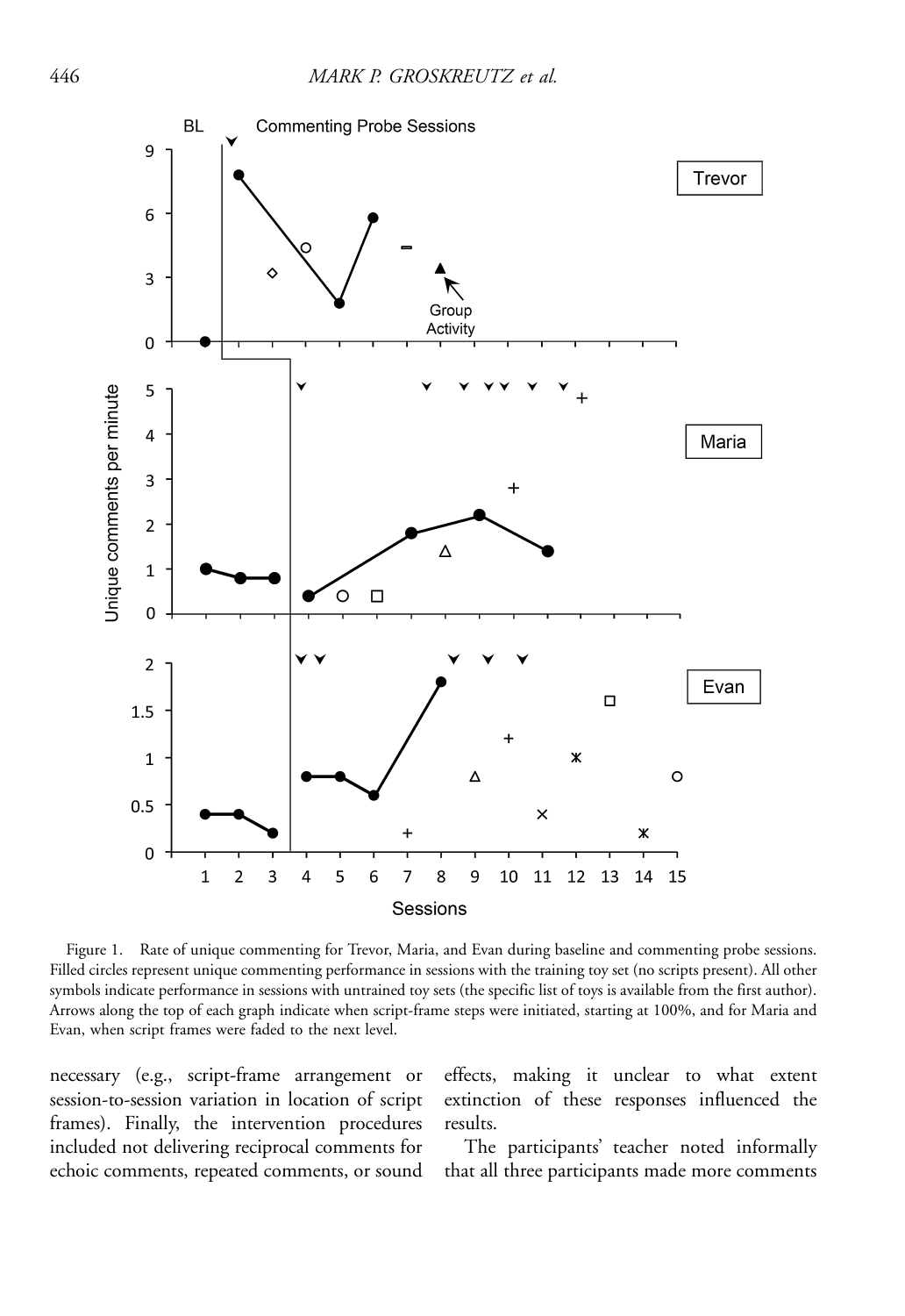

Figure 1. Rate of unique commenting for Trevor, Maria, and Evan during baseline and commenting probe sessions. Filled circles represent unique commenting performance in sessions with the training toy set (no scripts present). All other symbols indicate performance in sessions with untrained toy sets (the specific list of toys is available from the first author). Arrows along the top of each graph indicate when script-frame steps were initiated, starting at 100%, and for Maria and Evan, when script frames were faded to the next level.

necessary (e.g., script-frame arrangement or session-to-session variation in location of script frames). Finally, the intervention procedures included not delivering reciprocal comments for echoic comments, repeated comments, or sound effects, making it unclear to what extent extinction of these responses influenced the results.

The participants' teacher noted informally that all three participants made more comments